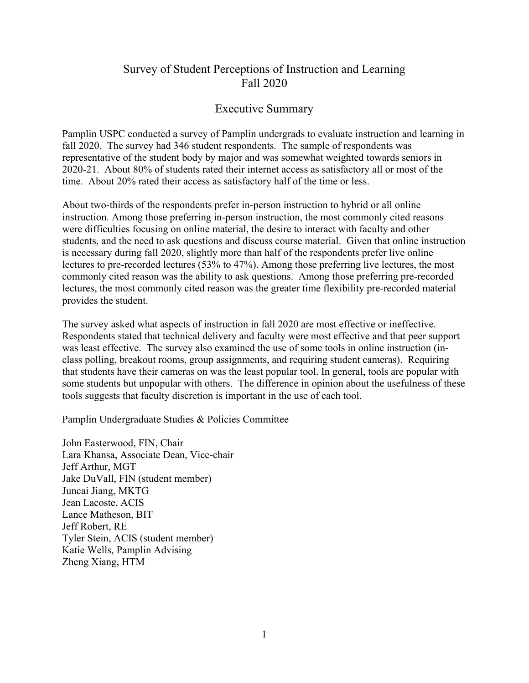# Survey of Student Perceptions of Instruction and Learning Fall 2020

# Executive Summary

Pamplin USPC conducted a survey of Pamplin undergrads to evaluate instruction and learning in fall 2020. The survey had 346 student respondents. The sample of respondents was representative of the student body by major and was somewhat weighted towards seniors in 2020-21. About 80% of students rated their internet access as satisfactory all or most of the time. About 20% rated their access as satisfactory half of the time or less.

About two-thirds of the respondents prefer in-person instruction to hybrid or all online instruction. Among those preferring in-person instruction, the most commonly cited reasons were difficulties focusing on online material, the desire to interact with faculty and other students, and the need to ask questions and discuss course material. Given that online instruction is necessary during fall 2020, slightly more than half of the respondents prefer live online lectures to pre-recorded lectures (53% to 47%). Among those preferring live lectures, the most commonly cited reason was the ability to ask questions. Among those preferring pre-recorded lectures, the most commonly cited reason was the greater time flexibility pre-recorded material provides the student.

The survey asked what aspects of instruction in fall 2020 are most effective or ineffective. Respondents stated that technical delivery and faculty were most effective and that peer support was least effective. The survey also examined the use of some tools in online instruction (inclass polling, breakout rooms, group assignments, and requiring student cameras). Requiring that students have their cameras on was the least popular tool. In general, tools are popular with some students but unpopular with others. The difference in opinion about the usefulness of these tools suggests that faculty discretion is important in the use of each tool.

Pamplin Undergraduate Studies & Policies Committee

John Easterwood, FIN, Chair Lara Khansa, Associate Dean, Vice-chair Jeff Arthur, MGT Jake DuVall, FIN (student member) Juncai Jiang, MKTG Jean Lacoste, ACIS Lance Matheson, BIT Jeff Robert, RE Tyler Stein, ACIS (student member) Katie Wells, Pamplin Advising Zheng Xiang, HTM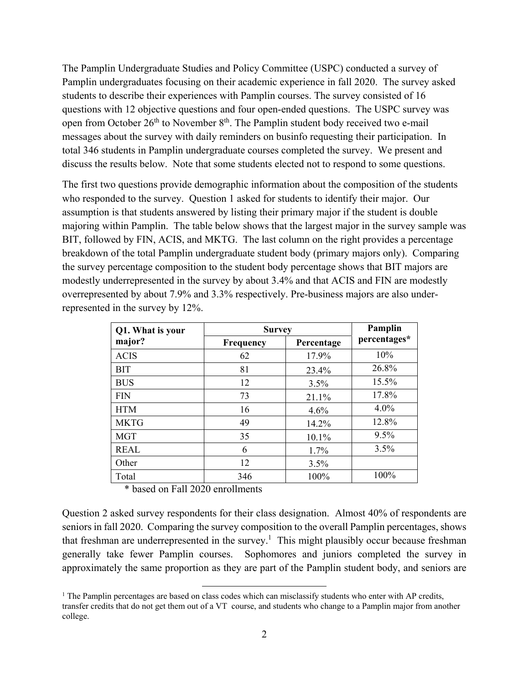The Pamplin Undergraduate Studies and Policy Committee (USPC) conducted a survey of Pamplin undergraduates focusing on their academic experience in fall 2020. The survey asked students to describe their experiences with Pamplin courses. The survey consisted of 16 questions with 12 objective questions and four open-ended questions. The USPC survey was open from October 26<sup>th</sup> to November 8<sup>th</sup>. The Pamplin student body received two e-mail messages about the survey with daily reminders on businfo requesting their participation. In total 346 students in Pamplin undergraduate courses completed the survey. We present and discuss the results below. Note that some students elected not to respond to some questions.

The first two questions provide demographic information about the composition of the students who responded to the survey. Question 1 asked for students to identify their major. Our assumption is that students answered by listing their primary major if the student is double majoring within Pamplin. The table below shows that the largest major in the survey sample was BIT, followed by FIN, ACIS, and MKTG. The last column on the right provides a percentage breakdown of the total Pamplin undergraduate student body (primary majors only). Comparing the survey percentage composition to the student body percentage shows that BIT majors are modestly underrepresented in the survey by about 3.4% and that ACIS and FIN are modestly overrepresented by about 7.9% and 3.3% respectively. Pre-business majors are also underrepresented in the survey by 12%.

| Q1. What is your | <b>Survey</b> | Pamplin    |              |
|------------------|---------------|------------|--------------|
| major?           | Frequency     | Percentage | percentages* |
| <b>ACIS</b>      | 62            | 17.9%      | 10%          |
| <b>BIT</b>       | 81            | 23.4%      | 26.8%        |
| <b>BUS</b>       | 12            | 3.5%       | 15.5%        |
| <b>FIN</b>       | 73            | 21.1%      | 17.8%        |
| <b>HTM</b>       | 16            | 4.6%       | $4.0\%$      |
| <b>MKTG</b>      | 49            | 14.2%      | 12.8%        |
| <b>MGT</b>       | 35            | 10.1%      | $9.5\%$      |
| <b>REAL</b>      | 6             | 1.7%       | 3.5%         |
| Other            | 12            | 3.5%       |              |
| Total            | 346           | 100%       | 100%         |

\* based on Fall 2020 enrollments

Question 2 asked survey respondents for their class designation. Almost 40% of respondents are seniors in fall 2020. Comparing the survey composition to the overall Pamplin percentages, shows that freshman are underrepresented in the survey.<sup>1</sup> This might plausibly occur because freshman generally take fewer Pamplin courses. Sophomores and juniors completed the survey in approximately the same proportion as they are part of the Pamplin student body, and seniors are

<sup>&</sup>lt;sup>1</sup> The Pamplin percentages are based on class codes which can misclassify students who enter with AP credits, transfer credits that do not get them out of a VT course, and students who change to a Pamplin major from another college.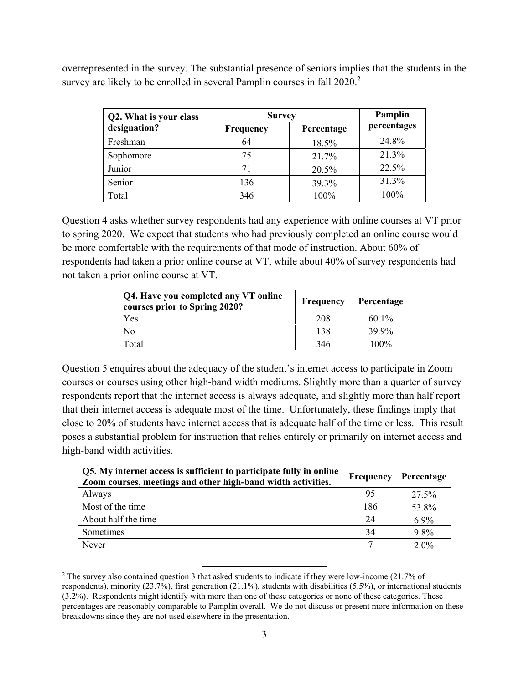overrepresented in the survey. The substantial presence of seniors implies that the students in the survey are likely to be enrolled in several Pamplin courses in fall 2020.<sup>2</sup>

| Q2. What is your class | <b>Survey</b> | Pamplin    |             |  |
|------------------------|---------------|------------|-------------|--|
| designation?           | Frequency     | Percentage | percentages |  |
| Freshman               | 64            | 18.5%      | 24.8%       |  |
| Sophomore              | 75            | 21.7%      | 21.3%       |  |
| Junior                 | 71            | 20.5%      | 22.5%       |  |
| Senior                 | 136           | 39.3%      | 31.3%       |  |
| Total                  | 346           | 100%       | 100%        |  |

Question 4 asks whether survey respondents had any experience with online courses at VT prior to spring 2020. We expect that students who had previously completed an online course would be more comfortable with the requirements of that mode of instruction. About 60% of respondents had taken a prior online course at VT, while about 40% of survey respondents had not taken a prior online course at VT.

| Q4. Have you completed any VT online<br>courses prior to Spring 2020? | <b>Frequency</b> | Percentage |
|-----------------------------------------------------------------------|------------------|------------|
| Yes                                                                   | 208              | $60.1\%$   |
| No                                                                    | 138              | 39.9%      |
| Total                                                                 | 346              | $100\%$    |

Question 5 enquires about the adequacy of the student's internet access to participate in Zoom courses or courses using other high-band width mediums. Slightly more than a quarter of survey respondents report that the internet access is always adequate, and slightly more than half report that their internet access is adequate most of the time. Unfortunately, these findings imply that close to 20% of students have internet access that is adequate half of the time or less. This result poses a substantial problem for instruction that relies entirely or primarily on internet access and high-band width activities.

| Q5. My internet access is sufficient to participate fully in online<br>Zoom courses, meetings and other high-band width activities. | Frequency | Percentage |
|-------------------------------------------------------------------------------------------------------------------------------------|-----------|------------|
| Always                                                                                                                              | 95        | 27.5%      |
| Most of the time                                                                                                                    | 186       | 53.8%      |
| About half the time                                                                                                                 | 24        | $6.9\%$    |
| Sometimes                                                                                                                           | 34        | 9.8%       |
| Never                                                                                                                               |           | $2.0\%$    |

<sup>&</sup>lt;sup>2</sup> The survey also contained question 3 that asked students to indicate if they were low-income (21.7% of respondents), minority (23.7%), first generation (21.1%), students with disabilities (5.5%), or international students (3.2%). Respondents might identify with more than one of these categories or none of these categories. These percentages are reasonably comparable to Pamplin overall. We do not discuss or present more information on these breakdowns since they are not used elsewhere in the presentation.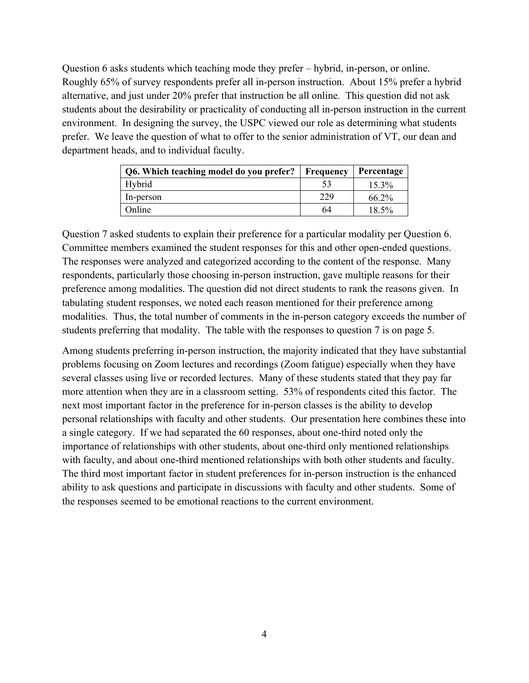Question 6 asks students which teaching mode they prefer – hybrid, in-person, or online. Roughly 65% of survey respondents prefer all in-person instruction. About 15% prefer a hybrid alternative, and just under 20% prefer that instruction be all online. This question did not ask students about the desirability or practicality of conducting all in-person instruction in the current environment. In designing the survey, the USPC viewed our role as determining what students prefer. We leave the question of what to offer to the senior administration of VT, our dean and department heads, and to individual faculty.

| Q6. Which teaching model do you prefer? | <b>Frequency</b> | Percentage |
|-----------------------------------------|------------------|------------|
| Hybrid                                  |                  | $15.3\%$   |
| In-person                               | 229              | $66.2\%$   |
| Online                                  | 64               | 18.5%      |

Question 7 asked students to explain their preference for a particular modality per Question 6. Committee members examined the student responses for this and other open-ended questions. The responses were analyzed and categorized according to the content of the response. Many respondents, particularly those choosing in-person instruction, gave multiple reasons for their preference among modalities. The question did not direct students to rank the reasons given. In tabulating student responses, we noted each reason mentioned for their preference among modalities. Thus, the total number of comments in the in-person category exceeds the number of students preferring that modality. The table with the responses to question 7 is on page 5.

Among students preferring in-person instruction, the majority indicated that they have substantial problems focusing on Zoom lectures and recordings (Zoom fatigue) especially when they have several classes using live or recorded lectures. Many of these students stated that they pay far more attention when they are in a classroom setting. 53% of respondents cited this factor. The next most important factor in the preference for in-person classes is the ability to develop personal relationships with faculty and other students. Our presentation here combines these into a single category. If we had separated the 60 responses, about one-third noted only the importance of relationships with other students, about one-third only mentioned relationships with faculty, and about one-third mentioned relationships with both other students and faculty. The third most important factor in student preferences for in-person instruction is the enhanced ability to ask questions and participate in discussions with faculty and other students. Some of the responses seemed to be emotional reactions to the current environment.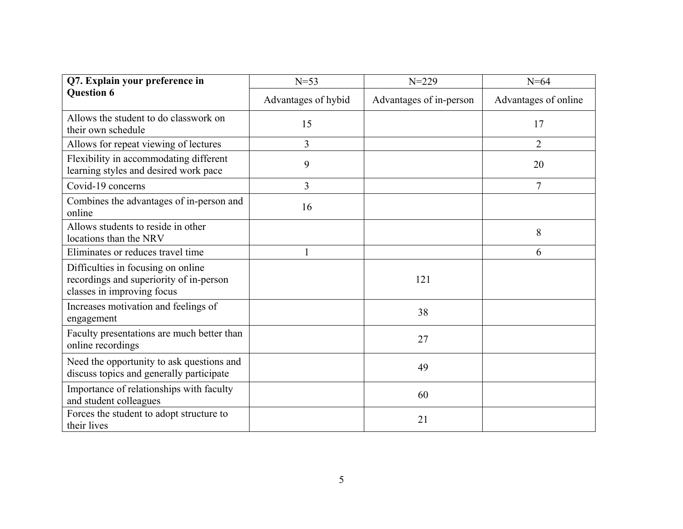| Q7. Explain your preference in                                                                              | $N = 53$            | $N = 229$               | $N=64$               |  |
|-------------------------------------------------------------------------------------------------------------|---------------------|-------------------------|----------------------|--|
| <b>Question 6</b>                                                                                           | Advantages of hybid | Advantages of in-person | Advantages of online |  |
| Allows the student to do classwork on<br>their own schedule                                                 | 15                  |                         | 17                   |  |
| Allows for repeat viewing of lectures                                                                       | $\overline{3}$      |                         | $\overline{2}$       |  |
| Flexibility in accommodating different<br>learning styles and desired work pace                             | 9                   |                         | 20                   |  |
| Covid-19 concerns                                                                                           | 3                   |                         | $\overline{7}$       |  |
| Combines the advantages of in-person and<br>online                                                          | 16                  |                         |                      |  |
| Allows students to reside in other<br>locations than the NRV                                                |                     |                         | 8                    |  |
| Eliminates or reduces travel time                                                                           |                     |                         | 6                    |  |
| Difficulties in focusing on online<br>recordings and superiority of in-person<br>classes in improving focus |                     | 121                     |                      |  |
| Increases motivation and feelings of<br>engagement                                                          |                     | 38                      |                      |  |
| Faculty presentations are much better than<br>online recordings                                             |                     | 27                      |                      |  |
| Need the opportunity to ask questions and<br>discuss topics and generally participate                       |                     | 49                      |                      |  |
| Importance of relationships with faculty<br>and student colleagues                                          |                     | 60                      |                      |  |
| Forces the student to adopt structure to<br>their lives                                                     |                     | 21                      |                      |  |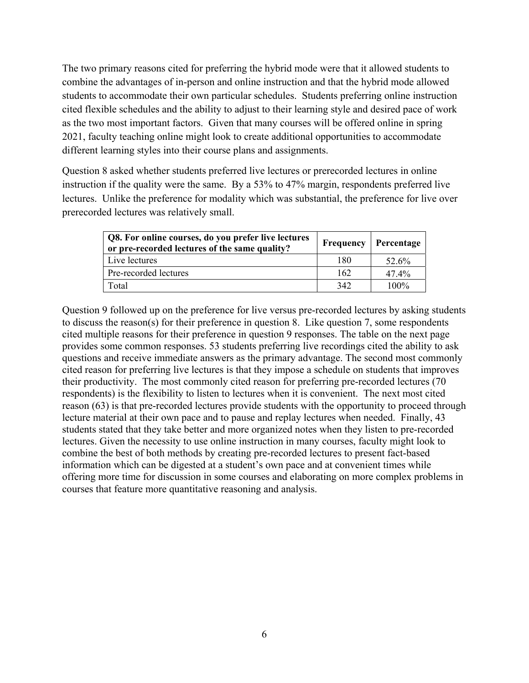The two primary reasons cited for preferring the hybrid mode were that it allowed students to combine the advantages of in-person and online instruction and that the hybrid mode allowed students to accommodate their own particular schedules. Students preferring online instruction cited flexible schedules and the ability to adjust to their learning style and desired pace of work as the two most important factors. Given that many courses will be offered online in spring 2021, faculty teaching online might look to create additional opportunities to accommodate different learning styles into their course plans and assignments.

Question 8 asked whether students preferred live lectures or prerecorded lectures in online instruction if the quality were the same. By a 53% to 47% margin, respondents preferred live lectures. Unlike the preference for modality which was substantial, the preference for live over prerecorded lectures was relatively small.

| Q8. For online courses, do you prefer live lectures<br>or pre-recorded lectures of the same quality? | Frequency | Percentage |
|------------------------------------------------------------------------------------------------------|-----------|------------|
| Live lectures                                                                                        | 180       | 52.6%      |
| Pre-recorded lectures                                                                                | 162       | 47.4%      |
| Total                                                                                                | 342       | $100\%$    |

Question 9 followed up on the preference for live versus pre-recorded lectures by asking students to discuss the reason(s) for their preference in question 8. Like question 7, some respondents cited multiple reasons for their preference in question 9 responses. The table on the next page provides some common responses. 53 students preferring live recordings cited the ability to ask questions and receive immediate answers as the primary advantage. The second most commonly cited reason for preferring live lectures is that they impose a schedule on students that improves their productivity. The most commonly cited reason for preferring pre-recorded lectures (70 respondents) is the flexibility to listen to lectures when it is convenient. The next most cited reason (63) is that pre-recorded lectures provide students with the opportunity to proceed through lecture material at their own pace and to pause and replay lectures when needed. Finally, 43 students stated that they take better and more organized notes when they listen to pre-recorded lectures. Given the necessity to use online instruction in many courses, faculty might look to combine the best of both methods by creating pre-recorded lectures to present fact-based information which can be digested at a student's own pace and at convenient times while offering more time for discussion in some courses and elaborating on more complex problems in courses that feature more quantitative reasoning and analysis.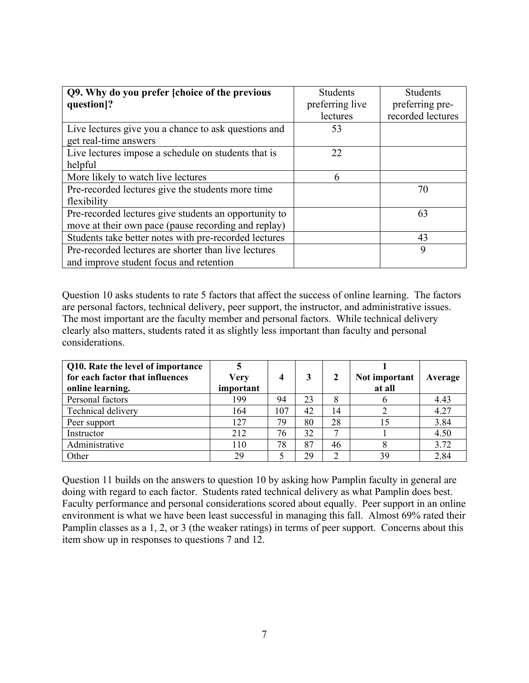| Q9. Why do you prefer [choice of the previous         | <b>Students</b> | <b>Students</b>   |
|-------------------------------------------------------|-----------------|-------------------|
| question]?                                            | preferring live | preferring pre-   |
|                                                       | lectures        | recorded lectures |
| Live lectures give you a chance to ask questions and  | 53              |                   |
| get real-time answers                                 |                 |                   |
| Live lectures impose a schedule on students that is   | 22              |                   |
| helpful                                               |                 |                   |
| More likely to watch live lectures                    | 6               |                   |
| Pre-recorded lectures give the students more time     |                 | 70                |
| flexibility                                           |                 |                   |
| Pre-recorded lectures give students an opportunity to |                 | 63                |
| move at their own pace (pause recording and replay)   |                 |                   |
| Students take better notes with pre-recorded lectures |                 | 43                |
| Pre-recorded lectures are shorter than live lectures  |                 | 9                 |
| and improve student focus and retention               |                 |                   |

Question 10 asks students to rate 5 factors that affect the success of online learning. The factors are personal factors, technical delivery, peer support, the instructor, and administrative issues. The most important are the faculty member and personal factors. While technical delivery clearly also matters, students rated it as slightly less important than faculty and personal considerations.

| Q10. Rate the level of importance<br>for each factor that influences<br>online learning. | Very<br>important | 4   | 3  |                 | Not important<br>at all | Average |
|------------------------------------------------------------------------------------------|-------------------|-----|----|-----------------|-------------------------|---------|
| Personal factors                                                                         | 199               | 94  | 23 | 8               |                         | 4.43    |
| Technical delivery                                                                       | 164               | 107 | 42 | 14              |                         | 4.27    |
| Peer support                                                                             | 127               | 79  | 80 | 28              | 15                      | 3.84    |
| Instructor                                                                               | 212               | 76  | 32 | $\mathbf{\tau}$ |                         | 4.50    |
| Administrative                                                                           | 110               | 78  | 87 | 46              |                         | 3.72    |
| Other                                                                                    | 29                |     | 29 |                 | 39                      | 2.84    |

Question 11 builds on the answers to question 10 by asking how Pamplin faculty in general are doing with regard to each factor. Students rated technical delivery as what Pamplin does best. Faculty performance and personal considerations scored about equally. Peer support in an online environment is what we have been least successful in managing this fall. Almost 69% rated their Pamplin classes as a 1, 2, or 3 (the weaker ratings) in terms of peer support. Concerns about this item show up in responses to questions 7 and 12.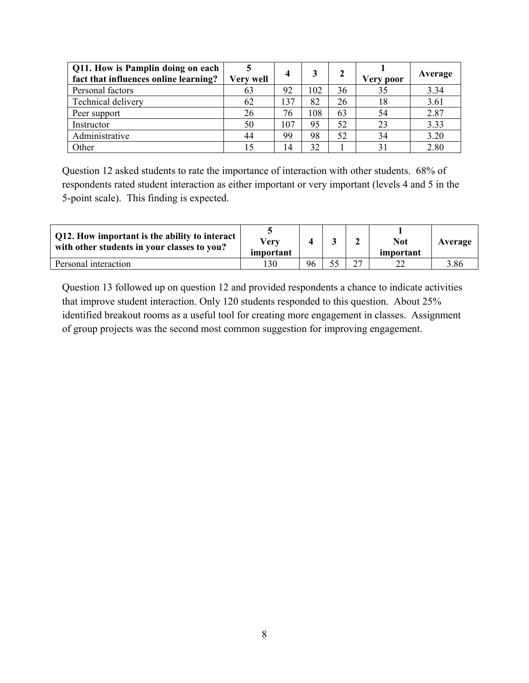| Q11. How is Pamplin doing on each<br>fact that influences online learning? | Very well | 4   |     |    | <b>Very poor</b> | Average |
|----------------------------------------------------------------------------|-----------|-----|-----|----|------------------|---------|
| Personal factors                                                           | 63        | 92  | 102 | 36 | 35               | 3.34    |
| Technical delivery                                                         | 62        | 137 | 82  | 26 | 18               | 3.61    |
| Peer support                                                               | 26        | 76  | 108 | 63 | 54               | 2.87    |
| Instructor                                                                 | 50        | 107 | 95  | 52 | 23               | 3.33    |
| Administrative                                                             | 44        | 99  | 98  | 52 | 34               | 3.20    |
| Other                                                                      | 15        | 14  | 32  |    |                  | 2.80    |

Question 12 asked students to rate the importance of interaction with other students. 68% of respondents rated student interaction as either important or very important (levels 4 and 5 in the 5-point scale). This finding is expected.

| Q12. How important is the ability to interact  <br>with other students in your classes to you? | Verv<br>important |    |  | <b>Not</b><br>important | Average |
|------------------------------------------------------------------------------------------------|-------------------|----|--|-------------------------|---------|
| Personal interaction                                                                           | 130               | 96 |  |                         | 3.86    |

Question 13 followed up on question 12 and provided respondents a chance to indicate activities that improve student interaction. Only 120 students responded to this question. About 25% identified breakout rooms as a useful tool for creating more engagement in classes. Assignment of group projects was the second most common suggestion for improving engagement.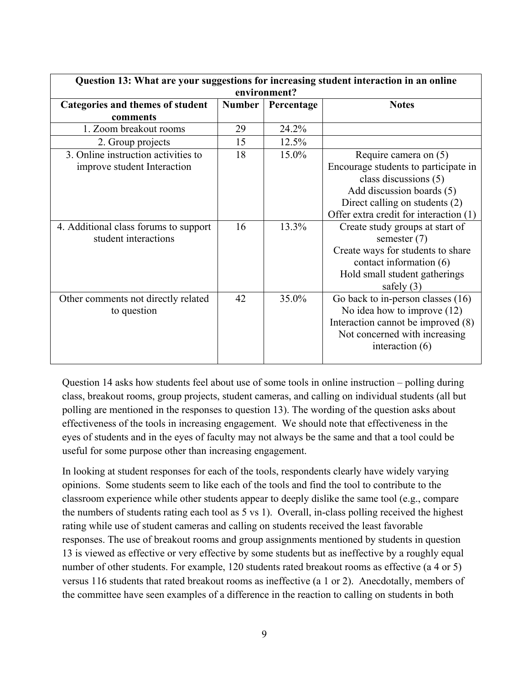| Question 13: What are your suggestions for increasing student interaction in an online |        |            |                                        |  |  |  |  |  |
|----------------------------------------------------------------------------------------|--------|------------|----------------------------------------|--|--|--|--|--|
| environment?                                                                           |        |            |                                        |  |  |  |  |  |
| Categories and themes of student                                                       | Number | Percentage | <b>Notes</b>                           |  |  |  |  |  |
| comments                                                                               |        |            |                                        |  |  |  |  |  |
| 1. Zoom breakout rooms                                                                 | 29     | 24.2%      |                                        |  |  |  |  |  |
| 2. Group projects                                                                      | 15     | 12.5%      |                                        |  |  |  |  |  |
| 3. Online instruction activities to                                                    | 18     | 15.0%      | Require camera on (5)                  |  |  |  |  |  |
| improve student Interaction                                                            |        |            | Encourage students to participate in   |  |  |  |  |  |
|                                                                                        |        |            | class discussions (5)                  |  |  |  |  |  |
|                                                                                        |        |            | Add discussion boards (5)              |  |  |  |  |  |
|                                                                                        |        |            | Direct calling on students (2)         |  |  |  |  |  |
|                                                                                        |        |            | Offer extra credit for interaction (1) |  |  |  |  |  |
| 4. Additional class forums to support                                                  | 16     | 13.3%      | Create study groups at start of        |  |  |  |  |  |
| student interactions                                                                   |        |            | semester $(7)$                         |  |  |  |  |  |
|                                                                                        |        |            | Create ways for students to share      |  |  |  |  |  |
|                                                                                        |        |            | contact information (6)                |  |  |  |  |  |
|                                                                                        |        |            | Hold small student gatherings          |  |  |  |  |  |
|                                                                                        |        |            | safely $(3)$                           |  |  |  |  |  |
| Other comments not directly related                                                    | 42     | 35.0%      | Go back to in-person classes (16)      |  |  |  |  |  |
| to question                                                                            |        |            | No idea how to improve $(12)$          |  |  |  |  |  |
|                                                                                        |        |            | Interaction cannot be improved (8)     |  |  |  |  |  |
|                                                                                        |        |            | Not concerned with increasing          |  |  |  |  |  |
|                                                                                        |        |            | interaction $(6)$                      |  |  |  |  |  |
|                                                                                        |        |            |                                        |  |  |  |  |  |

Question 14 asks how students feel about use of some tools in online instruction – polling during class, breakout rooms, group projects, student cameras, and calling on individual students (all but polling are mentioned in the responses to question 13). The wording of the question asks about effectiveness of the tools in increasing engagement. We should note that effectiveness in the eyes of students and in the eyes of faculty may not always be the same and that a tool could be useful for some purpose other than increasing engagement.

In looking at student responses for each of the tools, respondents clearly have widely varying opinions. Some students seem to like each of the tools and find the tool to contribute to the classroom experience while other students appear to deeply dislike the same tool (e.g., compare the numbers of students rating each tool as 5 vs 1). Overall, in-class polling received the highest rating while use of student cameras and calling on students received the least favorable responses. The use of breakout rooms and group assignments mentioned by students in question 13 is viewed as effective or very effective by some students but as ineffective by a roughly equal number of other students. For example, 120 students rated breakout rooms as effective (a 4 or 5) versus 116 students that rated breakout rooms as ineffective (a 1 or 2). Anecdotally, members of the committee have seen examples of a difference in the reaction to calling on students in both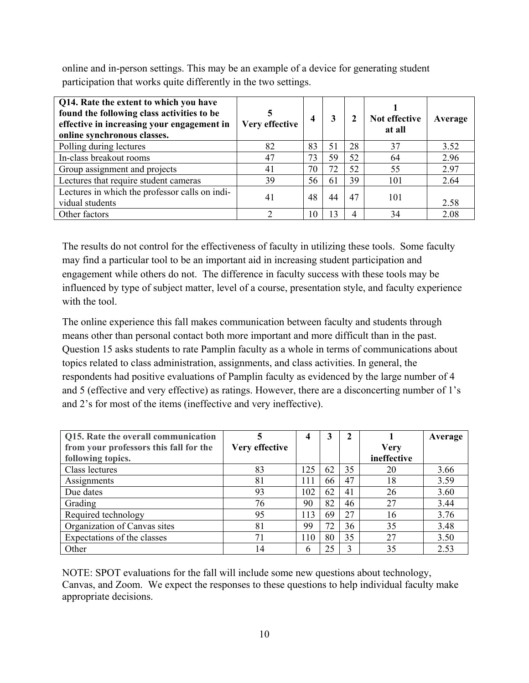online and in-person settings. This may be an example of a device for generating student participation that works quite differently in the two settings.

| Q14. Rate the extent to which you have<br>found the following class activities to be<br>effective in increasing your engagement in<br>online synchronous classes. | Very effective | 4  |    |    | Not effective<br>at all | Average |
|-------------------------------------------------------------------------------------------------------------------------------------------------------------------|----------------|----|----|----|-------------------------|---------|
| Polling during lectures                                                                                                                                           | 82             | 83 | 51 | 28 | 37                      | 3.52    |
| In-class breakout rooms                                                                                                                                           | 47             | 73 | 59 | 52 | 64                      | 2.96    |
| Group assignment and projects                                                                                                                                     | 41             | 70 | 72 | 52 | 55                      | 2.97    |
| Lectures that require student cameras                                                                                                                             | 39             | 56 | 61 | 39 | 101                     | 2.64    |
| Lectures in which the professor calls on indi-<br>vidual students                                                                                                 | 41             | 48 | 44 | 47 | 101                     | 2.58    |
| Other factors                                                                                                                                                     | ◠              | 10 | 13 |    | 34                      | 2.08    |

The results do not control for the effectiveness of faculty in utilizing these tools. Some faculty may find a particular tool to be an important aid in increasing student participation and engagement while others do not. The difference in faculty success with these tools may be influenced by type of subject matter, level of a course, presentation style, and faculty experience with the tool.

The online experience this fall makes communication between faculty and students through means other than personal contact both more important and more difficult than in the past. Question 15 asks students to rate Pamplin faculty as a whole in terms of communications about topics related to class administration, assignments, and class activities. In general, the respondents had positive evaluations of Pamplin faculty as evidenced by the large number of 4 and 5 (effective and very effective) as ratings. However, there are a disconcerting number of 1's and 2's for most of the items (ineffective and very ineffective).

| Q15. Rate the overall communication    |                | 4   |    |    |             | Average |
|----------------------------------------|----------------|-----|----|----|-------------|---------|
| from your professors this fall for the | Very effective |     |    |    | <b>Very</b> |         |
| following topics.                      |                |     |    |    | ineffective |         |
| Class lectures                         | 83             | 125 | 62 | 35 | 20          | 3.66    |
| Assignments                            | 81             | 111 | 66 | 47 | 18          | 3.59    |
| Due dates                              | 93             | 102 | 62 | 41 | 26          | 3.60    |
| Grading                                | 76             | 90  | 82 | 46 | 27          | 3.44    |
| Required technology                    | 95             | 113 | 69 | 27 | 16          | 3.76    |
| Organization of Canvas sites           | 81             | 99  | 72 | 36 | 35          | 3.48    |
| Expectations of the classes            | 71             | 110 | 80 | 35 | 27          | 3.50    |
| Other                                  | 14             | h   | 25 |    | 35          | 2.53    |

NOTE: SPOT evaluations for the fall will include some new questions about technology, Canvas, and Zoom. We expect the responses to these questions to help individual faculty make appropriate decisions.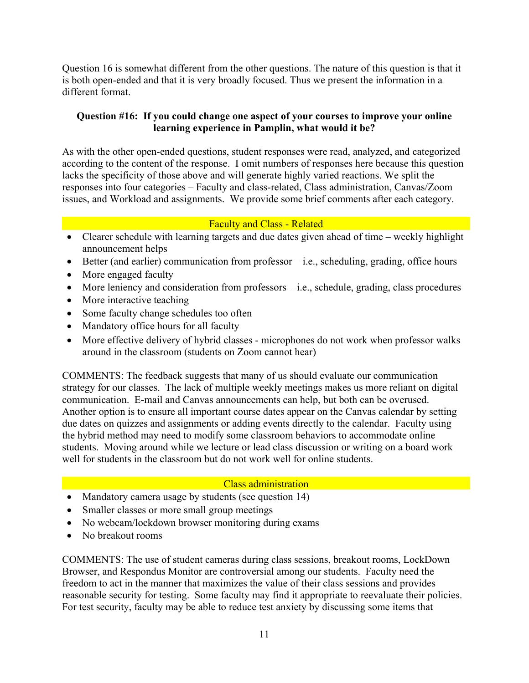Question 16 is somewhat different from the other questions. The nature of this question is that it is both open-ended and that it is very broadly focused. Thus we present the information in a different format.

## **Question #16: If you could change one aspect of your courses to improve your online learning experience in Pamplin, what would it be?**

As with the other open-ended questions, student responses were read, analyzed, and categorized according to the content of the response. I omit numbers of responses here because this question lacks the specificity of those above and will generate highly varied reactions. We split the responses into four categories – Faculty and class-related, Class administration, Canvas/Zoom issues, and Workload and assignments. We provide some brief comments after each category.

### Faculty and Class - Related

- Clearer schedule with learning targets and due dates given ahead of time weekly highlight announcement helps
- $\bullet$  Better (and earlier) communication from professor i.e., scheduling, grading, office hours
- More engaged faculty
- More leniency and consideration from professors i.e., schedule, grading, class procedures
- More interactive teaching
- Some faculty change schedules too often
- Mandatory office hours for all faculty
- More effective delivery of hybrid classes microphones do not work when professor walks around in the classroom (students on Zoom cannot hear)

COMMENTS: The feedback suggests that many of us should evaluate our communication strategy for our classes. The lack of multiple weekly meetings makes us more reliant on digital communication. E-mail and Canvas announcements can help, but both can be overused. Another option is to ensure all important course dates appear on the Canvas calendar by setting due dates on quizzes and assignments or adding events directly to the calendar. Faculty using the hybrid method may need to modify some classroom behaviors to accommodate online students. Moving around while we lecture or lead class discussion or writing on a board work well for students in the classroom but do not work well for online students.

## **Class administration**

- Mandatory camera usage by students (see question 14)
- Smaller classes or more small group meetings
- No webcam/lockdown browser monitoring during exams
- No breakout rooms

COMMENTS: The use of student cameras during class sessions, breakout rooms, LockDown Browser, and Respondus Monitor are controversial among our students. Faculty need the freedom to act in the manner that maximizes the value of their class sessions and provides reasonable security for testing. Some faculty may find it appropriate to reevaluate their policies. For test security, faculty may be able to reduce test anxiety by discussing some items that